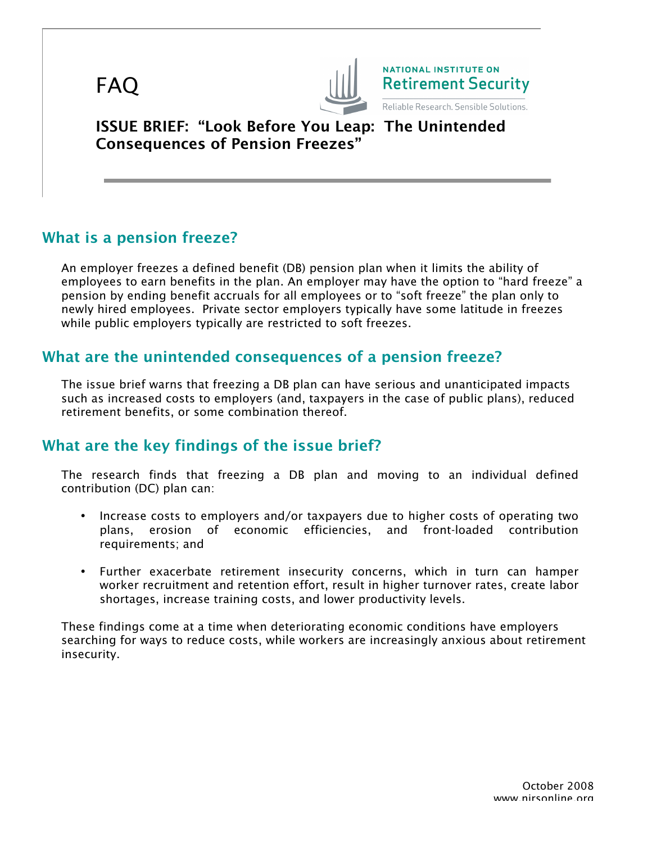



**NATIONAL INSTITUTE ON Retirement Security** 

Reliable Research. Sensible Solutions.

ISSUE BRIEF: "Look Before You Leap: The Unintended Consequences of Pension Freezes"

# What is a pension freeze?

An employer freezes a defined benefit (DB) pension plan when it limits the ability of employees to earn benefits in the plan. An employer may have the option to "hard freeze" a pension by ending benefit accruals for all employees or to "soft freeze" the plan only to newly hired employees. Private sector employers typically have some latitude in freezes while public employers typically are restricted to soft freezes.

### What are the unintended consequences of a pension freeze?

The issue brief warns that freezing a DB plan can have serious and unanticipated impacts such as increased costs to employers (and, taxpayers in the case of public plans), reduced retirement benefits, or some combination thereof.

## What are the key findings of the issue brief?

The research finds that freezing a DB plan and moving to an individual defined contribution (DC) plan can:

- Increase costs to employers and/or taxpayers due to higher costs of operating two plans, erosion of economic efficiencies, and front-loaded contribution requirements; and
- Further exacerbate retirement insecurity concerns, which in turn can hamper worker recruitment and retention effort, result in higher turnover rates, create labor shortages, increase training costs, and lower productivity levels.

These findings come at a time when deteriorating economic conditions have employers searching for ways to reduce costs, while workers are increasingly anxious about retirement insecurity.